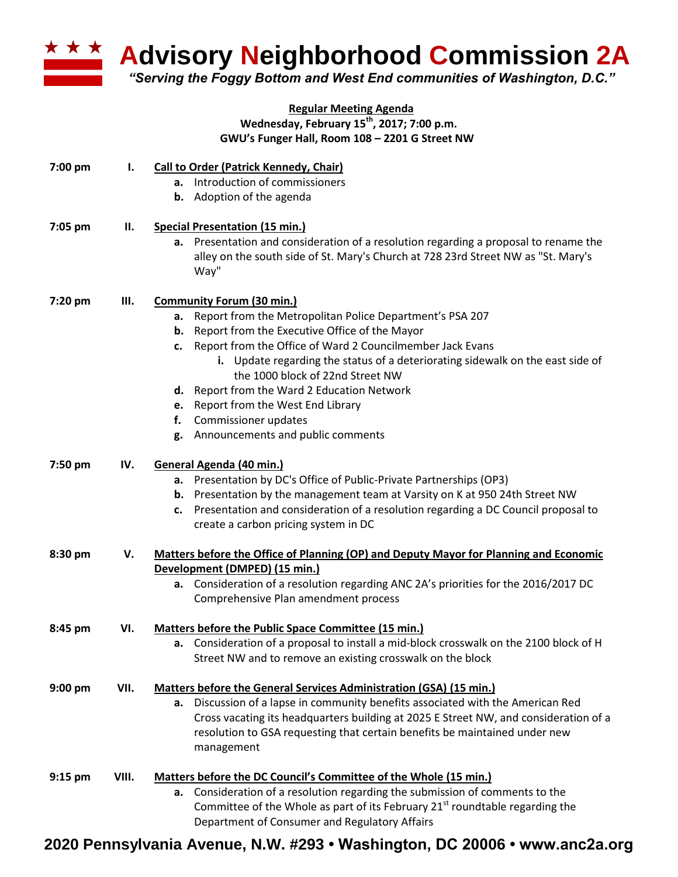

**Advisory Neighborhood Commission 2A** 

*"Serving the Foggy Bottom and West End communities of Washington, D.C."*

## **Regular Meeting Agenda Wednesday, February 15th , 2017; 7:00 p.m. GWU's Funger Hall, Room 108 – 2201 G Street NW**

| 7:00 pm | ı.    | <b>Call to Order (Patrick Kennedy, Chair)</b><br>a. Introduction of commissioners                                                                                                 |  |  |
|---------|-------|-----------------------------------------------------------------------------------------------------------------------------------------------------------------------------------|--|--|
|         |       | <b>b.</b> Adoption of the agenda                                                                                                                                                  |  |  |
| 7:05 pm | П.    | <b>Special Presentation (15 min.)</b>                                                                                                                                             |  |  |
|         |       | a. Presentation and consideration of a resolution regarding a proposal to rename the<br>alley on the south side of St. Mary's Church at 728 23rd Street NW as "St. Mary's<br>Way" |  |  |
| 7:20 pm | Ш.    | <b>Community Forum (30 min.)</b>                                                                                                                                                  |  |  |
|         |       | a. Report from the Metropolitan Police Department's PSA 207                                                                                                                       |  |  |
|         |       | <b>b.</b> Report from the Executive Office of the Mayor                                                                                                                           |  |  |
|         |       | c. Report from the Office of Ward 2 Councilmember Jack Evans                                                                                                                      |  |  |
|         |       | i. Update regarding the status of a deteriorating sidewalk on the east side of                                                                                                    |  |  |
|         |       | the 1000 block of 22nd Street NW                                                                                                                                                  |  |  |
|         |       | d. Report from the Ward 2 Education Network                                                                                                                                       |  |  |
|         |       | e. Report from the West End Library                                                                                                                                               |  |  |
|         |       | Commissioner updates<br>f.                                                                                                                                                        |  |  |
|         |       | g. Announcements and public comments                                                                                                                                              |  |  |
| 7:50 pm | IV.   | General Agenda (40 min.)                                                                                                                                                          |  |  |
|         |       | a. Presentation by DC's Office of Public-Private Partnerships (OP3)                                                                                                               |  |  |
|         |       | <b>b.</b> Presentation by the management team at Varsity on K at 950 24th Street NW                                                                                               |  |  |
|         |       | Presentation and consideration of a resolution regarding a DC Council proposal to<br>c.<br>create a carbon pricing system in DC                                                   |  |  |
| 8:30 pm | V.    | Matters before the Office of Planning (OP) and Deputy Mayor for Planning and Economic                                                                                             |  |  |
|         |       | Development (DMPED) (15 min.)                                                                                                                                                     |  |  |
|         |       | a. Consideration of a resolution regarding ANC 2A's priorities for the 2016/2017 DC                                                                                               |  |  |
|         |       | Comprehensive Plan amendment process                                                                                                                                              |  |  |
| 8:45 pm | VI.   | Matters before the Public Space Committee (15 min.)                                                                                                                               |  |  |
|         |       | Consideration of a proposal to install a mid-block crosswalk on the 2100 block of H<br>а.                                                                                         |  |  |
|         |       | Street NW and to remove an existing crosswalk on the block                                                                                                                        |  |  |
| 9:00 pm | VII.  | Matters before the General Services Administration (GSA) (15 min.)                                                                                                                |  |  |
|         |       | a. Discussion of a lapse in community benefits associated with the American Red                                                                                                   |  |  |
|         |       | Cross vacating its headquarters building at 2025 E Street NW, and consideration of a                                                                                              |  |  |
|         |       | resolution to GSA requesting that certain benefits be maintained under new<br>management                                                                                          |  |  |
| 9:15 pm | VIII. | Matters before the DC Council's Committee of the Whole (15 min.)                                                                                                                  |  |  |
|         |       | a. Consideration of a resolution regarding the submission of comments to the                                                                                                      |  |  |
|         |       | Committee of the Whole as part of its February 21 <sup>st</sup> roundtable regarding the                                                                                          |  |  |
|         |       | Department of Consumer and Regulatory Affairs                                                                                                                                     |  |  |

## **2020 Pennsylvania Avenue, N.W. #293 • Washington, DC 20006 • www.anc2a.org**